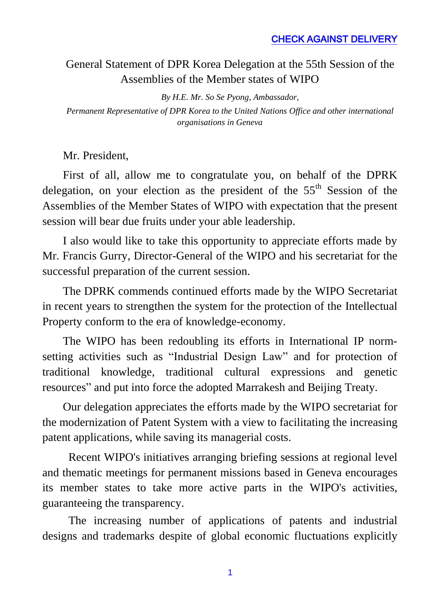## General Statement of DPR Korea Delegation at the 55th Session of the Assemblies of the Member states of WIPO

*By H.E. Mr. So Se Pyong, Ambassador, Permanent Representative of DPR Korea to the United Nations Office and other international organisations in Geneva*

Mr. President,

First of all, allow me to congratulate you, on behalf of the DPRK delegation, on your election as the president of the  $55<sup>th</sup>$  Session of the Assemblies of the Member States of WIPO with expectation that the present session will bear due fruits under your able leadership.

I also would like to take this opportunity to appreciate efforts made by Mr. Francis Gurry, Director-General of the WIPO and his secretariat for the successful preparation of the current session.

The DPRK commends continued efforts made by the WIPO Secretariat in recent years to strengthen the system for the protection of the Intellectual Property conform to the era of knowledge-economy.

The WIPO has been redoubling its efforts in International IP normsetting activities such as "Industrial Design Law" and for protection o[f](http://www.wipo.int/tk/en/tk/) [traditional knowledge,](http://www.wipo.int/tk/en/tk/) [traditional cultural expressions](http://www.wipo.int/tk/en/folklore/) and [genetic](http://www.wipo.int/tk/en/genetic/)  [resources"](http://www.wipo.int/tk/en/genetic/) and put into force the adopted Marrakesh and Beijing Treaty.

Our delegation appreciates the efforts made by the WIPO secretariat for the modernization of Patent System with a view to facilitating the increasing patent applications, while saving its managerial costs.

Recent WIPO's initiatives arranging briefing sessions at regional level and thematic meetings for permanent missions based in Geneva encourages its member states to take more active parts in the WIPO's activities, guaranteeing the transparency.

The increasing number of applications of patents and industrial designs and trademarks despite of global economic fluctuations explicitly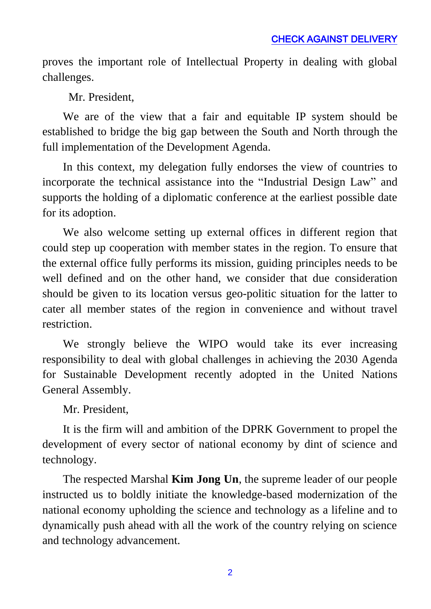proves the important role of Intellectual Property in dealing with global challenges.

Mr. President,

We are of the view that a fair and equitable IP system should be established to bridge the big gap between the South and North through the full implementation of the Development Agenda.

In this context, my delegation fully endorses the view of countries to incorporate the technical assistance into the "Industrial Design Law" and supports the holding of a diplomatic conference at the earliest possible date for its adoption.

We also welcome setting up external offices in different region that could step up cooperation with member states in the region. To ensure that the external office fully performs its mission, guiding principles needs to be well defined and on the other hand, we consider that due consideration should be given to its location versus geo-politic situation for the latter to cater all member states of the region in convenience and without travel restriction.

We strongly believe the WIPO would take its ever increasing responsibility to deal with global challenges in achieving the 2030 Agenda for Sustainable Development recently adopted in the United Nations General Assembly.

Mr. President,

It is the firm will and ambition of the DPRK Government to propel the development of every sector of national economy by dint of science and technology.

The respected Marshal **Kim Jong Un**, the supreme leader of our people instructed us to boldly initiate the knowledge-based modernization of the national economy upholding the science and technology as a lifeline and to dynamically push ahead with all the work of the country relying on science and technology advancement.